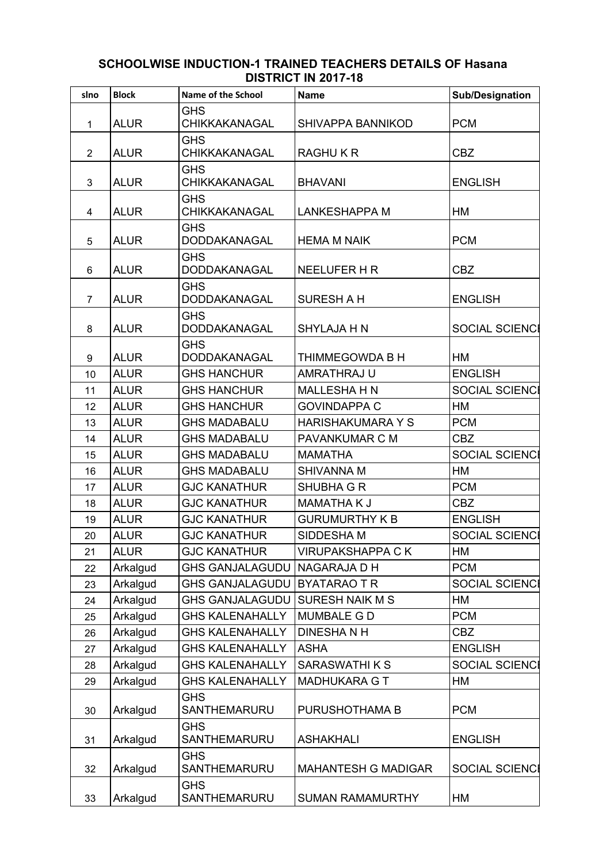| slno           | <b>Block</b> | <b>Name of the School</b>          | <b>Name</b>                | <b>Sub/Designation</b> |
|----------------|--------------|------------------------------------|----------------------------|------------------------|
| 1              | <b>ALUR</b>  | <b>GHS</b><br><b>CHIKKAKANAGAL</b> | <b>SHIVAPPA BANNIKOD</b>   | <b>PCM</b>             |
| $\overline{2}$ | <b>ALUR</b>  | <b>GHS</b><br><b>CHIKKAKANAGAL</b> | <b>RAGHUKR</b>             | <b>CBZ</b>             |
| 3              | <b>ALUR</b>  | <b>GHS</b><br><b>CHIKKAKANAGAL</b> | <b>BHAVANI</b>             | <b>ENGLISH</b>         |
| 4              | <b>ALUR</b>  | <b>GHS</b><br>CHIKKAKANAGAL        | <b>LANKESHAPPA M</b>       | НM                     |
| 5              | <b>ALUR</b>  | <b>GHS</b><br>DODDAKANAGAL         | <b>HEMA M NAIK</b>         | <b>PCM</b>             |
| 6              | <b>ALUR</b>  | <b>GHS</b><br>DODDAKANAGAL         | <b>NEELUFER H R</b>        | <b>CBZ</b>             |
| $\overline{7}$ | <b>ALUR</b>  | <b>GHS</b><br>DODDAKANAGAL         | <b>SURESH A H</b>          | <b>ENGLISH</b>         |
| 8              | <b>ALUR</b>  | <b>GHS</b><br>DODDAKANAGAL         | <b>SHYLAJA H N</b>         | <b>SOCIAL SCIENCI</b>  |
| 9              | <b>ALUR</b>  | <b>GHS</b><br>DODDAKANAGAL         | THIMMEGOWDA B H            | HM                     |
| 10             | <b>ALUR</b>  | <b>GHS HANCHUR</b>                 | AMRATHRAJ U                | <b>ENGLISH</b>         |
| 11             | <b>ALUR</b>  | <b>GHS HANCHUR</b>                 | <b>MALLESHA H N</b>        | <b>SOCIAL SCIENCI</b>  |
| 12             | <b>ALUR</b>  | <b>GHS HANCHUR</b>                 | <b>GOVINDAPPA C</b>        | <b>HM</b>              |
| 13             | <b>ALUR</b>  | <b>GHS MADABALU</b>                | <b>HARISHAKUMARA Y S</b>   | <b>PCM</b>             |
| 14             | <b>ALUR</b>  | <b>GHS MADABALU</b>                | PAVANKUMAR C M             | <b>CBZ</b>             |
| 15             | <b>ALUR</b>  | <b>GHS MADABALU</b>                | <b>MAMATHA</b>             | <b>SOCIAL SCIENCI</b>  |
| 16             | <b>ALUR</b>  | <b>GHS MADABALU</b>                | <b>SHIVANNA M</b>          | <b>HM</b>              |
| 17             | <b>ALUR</b>  | <b>GJC KANATHUR</b>                | SHUBHA G R                 | <b>PCM</b>             |
| 18             | <b>ALUR</b>  | <b>GJC KANATHUR</b>                | <b>MAMATHAKJ</b>           | <b>CBZ</b>             |
| 19             | <b>ALUR</b>  | <b>GJC KANATHUR</b>                | <b>GURUMURTHY K B</b>      | <b>ENGLISH</b>         |
| 20             | <b>ALUR</b>  | <b>GJC KANATHUR</b>                | SIDDESHA M                 | <b>SOCIAL SCIENCI</b>  |
| 21             | <b>ALUR</b>  | <b>GJC KANATHUR</b>                | <b>VIRUPAKSHAPPA CK</b>    | HM                     |
| 22             | Arkalgud     | <b>GHS GANJALAGUDU</b>             | <b>NAGARAJA D H</b>        | <b>PCM</b>             |
| 23             | Arkalgud     | <b>GHS GANJALAGUDU</b>             | <b>BYATARAOTR</b>          | <b>SOCIAL SCIENCI</b>  |
| 24             | Arkalgud     | <b>GHS GANJALAGUDU</b>             | <b>SURESH NAIK M S</b>     | HM                     |
| 25             | Arkalgud     | <b>GHS KALENAHALLY</b>             | <b>MUMBALE G D</b>         | <b>PCM</b>             |
| 26             | Arkalgud     | <b>GHS KALENAHALLY</b>             | <b>DINESHANH</b>           | <b>CBZ</b>             |
| 27             | Arkalgud     | <b>GHS KALENAHALLY</b>             | <b>ASHA</b>                | <b>ENGLISH</b>         |
| 28             | Arkalgud     | <b>GHS KALENAHALLY</b>             | <b>SARASWATHIKS</b>        | <b>SOCIAL SCIENCI</b>  |
| 29             | Arkalgud     | <b>GHS KALENAHALLY</b>             | <b>MADHUKARA G T</b>       | НM                     |
| 30             | Arkalgud     | <b>GHS</b><br>SANTHEMARURU         | PURUSHOTHAMA B             | <b>PCM</b>             |
| 31             | Arkalgud     | <b>GHS</b><br>SANTHEMARURU         | <b>ASHAKHALI</b>           | <b>ENGLISH</b>         |
| 32             | Arkalgud     | <b>GHS</b><br>SANTHEMARURU         | <b>MAHANTESH G MADIGAR</b> | <b>SOCIAL SCIENCI</b>  |
| 33             | Arkalgud     | <b>GHS</b><br>SANTHEMARURU         | <b>SUMAN RAMAMURTHY</b>    | НM                     |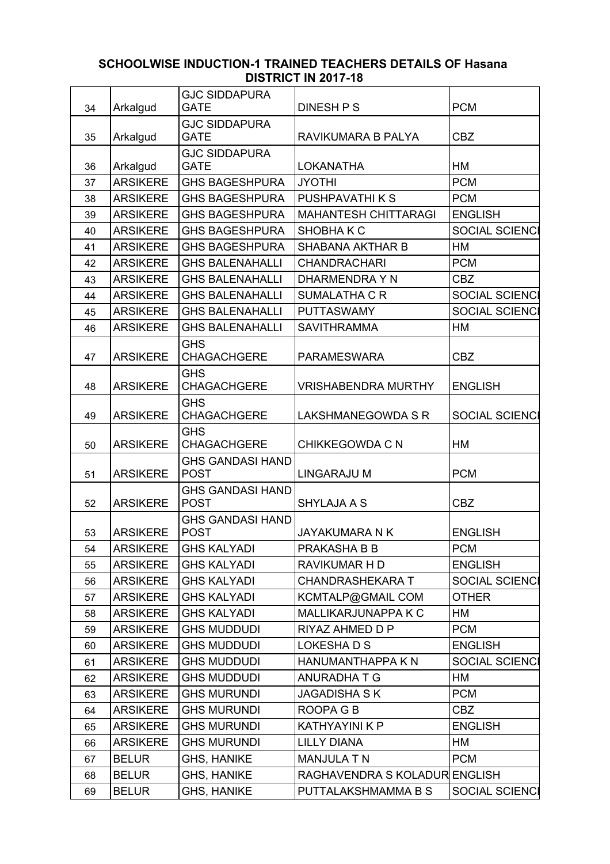| 34 | Arkalgud        | <b>GJC SIDDAPURA</b><br><b>GATE</b>    | <b>DINESH P S</b>             | <b>PCM</b>            |
|----|-----------------|----------------------------------------|-------------------------------|-----------------------|
|    |                 | <b>GJC SIDDAPURA</b>                   |                               |                       |
| 35 | Arkalgud        | <b>GATE</b>                            | RAVIKUMARA B PALYA            | <b>CBZ</b>            |
|    |                 | <b>GJC SIDDAPURA</b>                   |                               |                       |
| 36 | Arkalgud        | <b>GATE</b>                            | <b>LOKANATHA</b>              | <b>HM</b>             |
| 37 | <b>ARSIKERE</b> | <b>GHS BAGESHPURA</b>                  | <b>JYOTHI</b>                 | <b>PCM</b>            |
| 38 | <b>ARSIKERE</b> | <b>GHS BAGESHPURA</b>                  | PUSHPAVATHI K S               | <b>PCM</b>            |
| 39 | <b>ARSIKERE</b> | <b>GHS BAGESHPURA</b>                  | <b>MAHANTESH CHITTARAGI</b>   | <b>ENGLISH</b>        |
| 40 | <b>ARSIKERE</b> | <b>GHS BAGESHPURA</b>                  | SHOBHAKC                      | <b>SOCIAL SCIENCI</b> |
| 41 | <b>ARSIKERE</b> | <b>GHS BAGESHPURA</b>                  | <b>SHABANA AKTHAR B</b>       | HM                    |
| 42 | <b>ARSIKERE</b> | <b>GHS BALENAHALLI</b>                 | <b>CHANDRACHARI</b>           | <b>PCM</b>            |
| 43 | <b>ARSIKERE</b> | <b>GHS BALENAHALLI</b>                 | DHARMENDRA Y N                | <b>CBZ</b>            |
| 44 | <b>ARSIKERE</b> | <b>GHS BALENAHALLI</b>                 | <b>SUMALATHA C R</b>          | <b>SOCIAL SCIENCI</b> |
| 45 | <b>ARSIKERE</b> | <b>GHS BALENAHALLI</b>                 | <b>PUTTASWAMY</b>             | <b>SOCIAL SCIENCI</b> |
| 46 | <b>ARSIKERE</b> | <b>GHS BALENAHALLI</b>                 | <b>SAVITHRAMMA</b>            | <b>HM</b>             |
|    |                 | <b>GHS</b>                             |                               |                       |
| 47 | <b>ARSIKERE</b> | <b>CHAGACHGERE</b>                     | <b>PARAMESWARA</b>            | <b>CBZ</b>            |
| 48 | <b>ARSIKERE</b> | <b>GHS</b><br><b>CHAGACHGERE</b>       | <b>VRISHABENDRA MURTHY</b>    | <b>ENGLISH</b>        |
|    |                 | <b>GHS</b>                             |                               |                       |
| 49 | <b>ARSIKERE</b> | <b>CHAGACHGERE</b>                     | <b>LAKSHMANEGOWDA S R</b>     | <b>SOCIAL SCIENCI</b> |
|    | <b>ARSIKERE</b> | <b>GHS</b><br><b>CHAGACHGERE</b>       | <b>CHIKKEGOWDA C N</b>        | НM                    |
| 50 |                 | <b>GHS GANDASI HAND</b>                |                               |                       |
| 51 | <b>ARSIKERE</b> | <b>POST</b>                            | <b>LINGARAJU M</b>            | <b>PCM</b>            |
| 52 | <b>ARSIKERE</b> | <b>GHS GANDASI HAND</b><br><b>POST</b> | <b>SHYLAJA A S</b>            | <b>CBZ</b>            |
|    |                 | <b>GHS GANDASI HAND</b>                |                               |                       |
| 53 | <b>ARSIKERE</b> | <b>POST</b>                            | <b>JAYAKUMARA N K</b>         | <b>ENGLISH</b>        |
| 54 | <b>ARSIKERE</b> | <b>GHS KALYADI</b>                     | PRAKASHA B B                  | <b>PCM</b>            |
| 55 | <b>ARSIKERE</b> | <b>GHS KALYADI</b>                     | RAVIKUMAR H D                 | <b>ENGLISH</b>        |
| 56 | <b>ARSIKERE</b> | <b>GHS KALYADI</b>                     | <b>CHANDRASHEKARA T</b>       | <b>SOCIAL SCIENCI</b> |
| 57 | <b>ARSIKERE</b> | <b>GHS KALYADI</b>                     | KCMTALP@GMAIL COM             | <b>OTHER</b>          |
| 58 | <b>ARSIKERE</b> | <b>GHS KALYADI</b>                     | MALLIKARJUNAPPA K C           | НM                    |
| 59 | <b>ARSIKERE</b> | <b>GHS MUDDUDI</b>                     | RIYAZ AHMED D P               | <b>PCM</b>            |
| 60 | <b>ARSIKERE</b> | <b>GHS MUDDUDI</b>                     | <b>LOKESHADS</b>              | <b>ENGLISH</b>        |
| 61 | <b>ARSIKERE</b> | <b>GHS MUDDUDI</b>                     | HANUMANTHAPPA K N             | SOCIAL SCIENCI        |
| 62 | <b>ARSIKERE</b> | <b>GHS MUDDUDI</b>                     | <b>ANURADHATG</b>             | HM                    |
| 63 | <b>ARSIKERE</b> | <b>GHS MURUNDI</b>                     | <b>JAGADISHA SK</b>           | <b>PCM</b>            |
| 64 | <b>ARSIKERE</b> | <b>GHS MURUNDI</b>                     | ROOPA G B                     | <b>CBZ</b>            |
| 65 | <b>ARSIKERE</b> | <b>GHS MURUNDI</b>                     | <b>KATHYAYINI K P</b>         | <b>ENGLISH</b>        |
| 66 | <b>ARSIKERE</b> | <b>GHS MURUNDI</b>                     | <b>LILLY DIANA</b>            | HM                    |
| 67 | <b>BELUR</b>    | <b>GHS, HANIKE</b>                     | <b>MANJULA T N</b>            | <b>PCM</b>            |
|    |                 |                                        |                               |                       |
| 68 | <b>BELUR</b>    | <b>GHS, HANIKE</b>                     | RAGHAVENDRA S KOLADUR ENGLISH |                       |
| 69 | <b>BELUR</b>    | <b>GHS, HANIKE</b>                     | PUTTALAKSHMAMMA B S           | <b>SOCIAL SCIENCI</b> |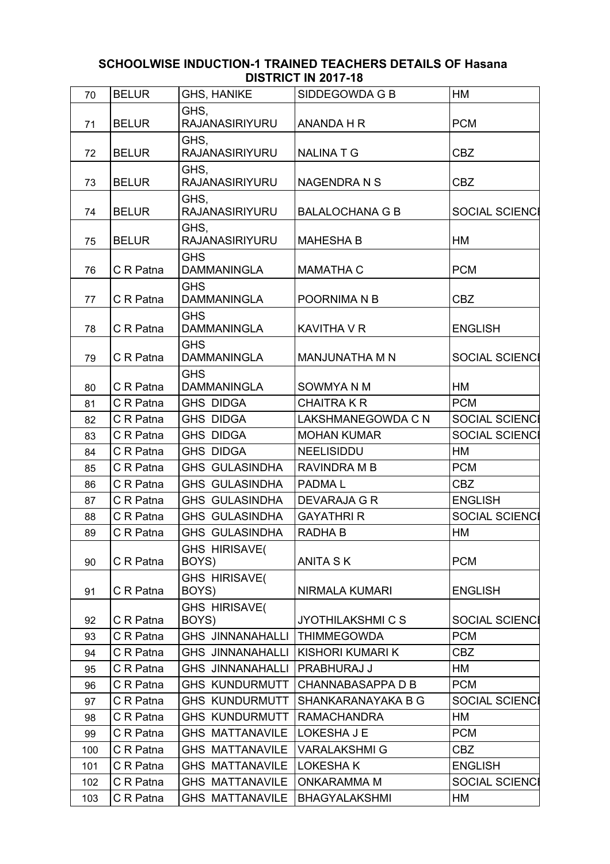| 70  | <b>BELUR</b> | <b>GHS, HANIKE</b>               | SIDDEGOWDA G B           | HM                    |
|-----|--------------|----------------------------------|--------------------------|-----------------------|
| 71  | <b>BELUR</b> | GHS,<br><b>RAJANASIRIYURU</b>    | <b>ANANDA H R</b>        | <b>PCM</b>            |
| 72  | <b>BELUR</b> | GHS.<br><b>RAJANASIRIYURU</b>    | <b>NALINATG</b>          | <b>CBZ</b>            |
| 73  | <b>BELUR</b> | GHS,<br><b>RAJANASIRIYURU</b>    | <b>NAGENDRA N S</b>      | <b>CBZ</b>            |
| 74  | <b>BELUR</b> | GHS,<br><b>RAJANASIRIYURU</b>    | <b>BALALOCHANA G B</b>   | <b>SOCIAL SCIENCI</b> |
| 75  | <b>BELUR</b> | GHS.<br><b>RAJANASIRIYURU</b>    | <b>MAHESHA B</b>         | HM                    |
| 76  | C R Patna    | <b>GHS</b><br><b>DAMMANINGLA</b> | <b>MAMATHA C</b>         | <b>PCM</b>            |
| 77  | C R Patna    | <b>GHS</b><br><b>DAMMANINGLA</b> | POORNIMA N B             | <b>CBZ</b>            |
| 78  | C R Patna    | <b>GHS</b><br><b>DAMMANINGLA</b> | <b>KAVITHA V R</b>       | <b>ENGLISH</b>        |
| 79  | C R Patna    | <b>GHS</b><br><b>DAMMANINGLA</b> | <b>MANJUNATHA M N</b>    | <b>SOCIAL SCIENCI</b> |
| 80  | C R Patna    | <b>GHS</b><br><b>DAMMANINGLA</b> | SOWMYA N M               | НM                    |
| 81  | C R Patna    | <b>GHS DIDGA</b>                 | <b>CHAITRA K R</b>       | <b>PCM</b>            |
| 82  | C R Patna    | <b>GHS DIDGA</b>                 | LAKSHMANEGOWDA C N       | <b>SOCIAL SCIENCI</b> |
| 83  | C R Patna    | <b>GHS DIDGA</b>                 | <b>MOHAN KUMAR</b>       | <b>SOCIAL SCIENCI</b> |
| 84  | C R Patna    | <b>GHS DIDGA</b>                 | <b>NEELISIDDU</b>        | <b>HM</b>             |
| 85  | C R Patna    | <b>GHS GULASINDHA</b>            | RAVINDRA M B             | <b>PCM</b>            |
| 86  | C R Patna    | <b>GHS GULASINDHA</b>            | PADMA <sub>L</sub>       | <b>CBZ</b>            |
| 87  | C R Patna    | <b>GHS GULASINDHA</b>            | <b>DEVARAJA G R</b>      | <b>ENGLISH</b>        |
| 88  | C R Patna    | <b>GHS GULASINDHA</b>            | <b>GAYATHRI R</b>        | <b>SOCIAL SCIENCI</b> |
| 89  | C R Patna    | <b>GHS GULASINDHA</b>            | RADHA B                  | НM                    |
| 90  | C R Patna    | <b>GHS HIRISAVE(</b><br>BOYS)    | <b>ANITA SK</b>          | <b>PCM</b>            |
| 91  | C R Patna    | GHS HIRISAVE(<br>BOYS)           | NIRMALA KUMARI           | <b>ENGLISH</b>        |
| 92  | C R Patna    | <b>GHS HIRISAVE(</b><br>BOYS)    | <b>JYOTHILAKSHMI C S</b> | <b>SOCIAL SCIENCI</b> |
| 93  | C R Patna    | <b>GHS JINNANAHALLI</b>          | <b>THIMMEGOWDA</b>       | <b>PCM</b>            |
| 94  | C R Patna    | <b>GHS JINNANAHALLI</b>          | KISHORI KUMARI K         | CBZ                   |
| 95  | C R Patna    | <b>GHS JINNANAHALLI</b>          | PRABHURAJ J              | НM                    |
| 96  | C R Patna    | <b>GHS KUNDURMUTT</b>            | <b>CHANNABASAPPA D B</b> | <b>PCM</b>            |
| 97  | C R Patna    | <b>GHS KUNDURMUTT</b>            | SHANKARANAYAKA B G       | <b>SOCIAL SCIENCI</b> |
| 98  | C R Patna    | <b>GHS KUNDURMUTT</b>            | <b>RAMACHANDRA</b>       | НM                    |
| 99  | C R Patna    | <b>GHS MATTANAVILE</b>           | LOKESHA J E              | <b>PCM</b>            |
| 100 | C R Patna    | <b>GHS MATTANAVILE</b>           | <b>VARALAKSHMI G</b>     | CBZ                   |
| 101 | C R Patna    | <b>GHS MATTANAVILE</b>           | <b>LOKESHAK</b>          | <b>ENGLISH</b>        |
| 102 | C R Patna    | <b>GHS MATTANAVILE</b>           | <b>ONKARAMMA M</b>       | <b>SOCIAL SCIENCI</b> |
| 103 | C R Patna    | <b>GHS MATTANAVILE</b>           | <b>BHAGYALAKSHMI</b>     | НM                    |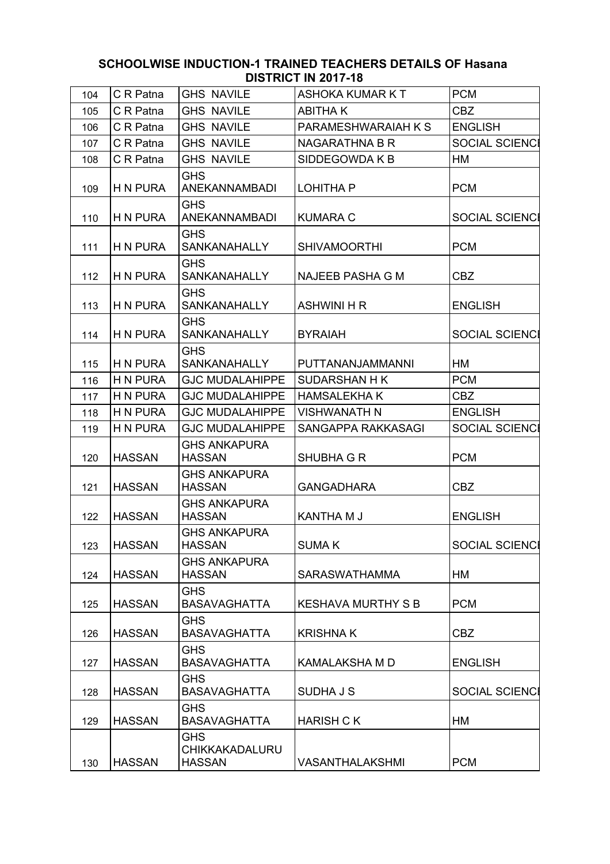| 104 | C R Patna       | <b>GHS NAVILE</b>                                    | <b>ASHOKA KUMAR KT</b>    | <b>PCM</b>            |
|-----|-----------------|------------------------------------------------------|---------------------------|-----------------------|
| 105 | C R Patna       | <b>GHS NAVILE</b>                                    | <b>ABITHAK</b>            | CBZ                   |
| 106 | C R Patna       | <b>GHS NAVILE</b>                                    | PARAMESHWARAIAH K S       | <b>ENGLISH</b>        |
| 107 | C R Patna       | <b>GHS NAVILE</b>                                    | <b>NAGARATHNA B R</b>     | <b>SOCIAL SCIENCI</b> |
| 108 | C R Patna       | <b>GHS NAVILE</b>                                    | SIDDEGOWDA K B            | <b>HM</b>             |
| 109 | H N PURA        | <b>GHS</b><br>ANEKANNAMBADI                          | <b>LOHITHA P</b>          | <b>PCM</b>            |
| 110 | H N PURA        | <b>GHS</b><br><b>ANEKANNAMBADI</b>                   | <b>KUMARA C</b>           | <b>SOCIAL SCIENCI</b> |
| 111 | H N PURA        | <b>GHS</b><br>SANKANAHALLY                           | <b>SHIVAMOORTHI</b>       | <b>PCM</b>            |
| 112 | H N PURA        | <b>GHS</b><br>SANKANAHALLY                           | <b>NAJEEB PASHA G M</b>   | <b>CBZ</b>            |
| 113 | <b>H N PURA</b> | <b>GHS</b><br><b>SANKANAHALLY</b>                    | <b>ASHWINI H R</b>        | <b>ENGLISH</b>        |
| 114 | <b>H N PURA</b> | <b>GHS</b><br>SANKANAHALLY                           | <b>BYRAIAH</b>            | <b>SOCIAL SCIENCI</b> |
| 115 | H N PURA        | <b>GHS</b><br>SANKANAHALLY                           | PUTTANANJAMMANNI          | HM                    |
| 116 | <b>H N PURA</b> | <b>GJC MUDALAHIPPE</b>                               | SUDARSHAN H K             | <b>PCM</b>            |
| 117 | H N PURA        | <b>GJC MUDALAHIPPE</b>                               | <b>HAMSALEKHAK</b>        | <b>CBZ</b>            |
| 118 | <b>H N PURA</b> | <b>GJC MUDALAHIPPE</b>                               | <b>VISHWANATH N</b>       | <b>ENGLISH</b>        |
| 119 | <b>H N PURA</b> | <b>GJC MUDALAHIPPE</b>                               | SANGAPPA RAKKASAGI        | <b>SOCIAL SCIENCI</b> |
| 120 | <b>HASSAN</b>   | <b>GHS ANKAPURA</b><br><b>HASSAN</b>                 | <b>SHUBHA G R</b>         | <b>PCM</b>            |
| 121 | <b>HASSAN</b>   | <b>GHS ANKAPURA</b><br><b>HASSAN</b>                 | <b>GANGADHARA</b>         | <b>CBZ</b>            |
| 122 | <b>HASSAN</b>   | <b>GHS ANKAPURA</b><br><b>HASSAN</b>                 | <b>KANTHA M J</b>         | <b>ENGLISH</b>        |
| 123 | HASSAN          | <b>GHS ANKAPURA</b><br><b>HASSAN</b>                 | <b>SUMAK</b>              | SOCIAL SCIENCI        |
| 124 | <b>HASSAN</b>   | <b>GHS ANKAPURA</b><br><b>HASSAN</b>                 | <b>SARASWATHAMMA</b>      | HM                    |
| 125 | <b>HASSAN</b>   | <b>GHS</b><br><b>BASAVAGHATTA</b>                    | <b>KESHAVA MURTHY S B</b> | <b>PCM</b>            |
| 126 | <b>HASSAN</b>   | <b>GHS</b><br><b>BASAVAGHATTA</b>                    | <b>KRISHNAK</b>           | <b>CBZ</b>            |
| 127 | <b>HASSAN</b>   | <b>GHS</b><br><b>BASAVAGHATTA</b>                    | <b>KAMALAKSHA M D</b>     | <b>ENGLISH</b>        |
| 128 | <b>HASSAN</b>   | <b>GHS</b><br><b>BASAVAGHATTA</b>                    | <b>SUDHAJS</b>            | <b>SOCIAL SCIENCI</b> |
| 129 | <b>HASSAN</b>   | <b>GHS</b><br><b>BASAVAGHATTA</b>                    | <b>HARISH CK</b>          | HM                    |
| 130 | <b>HASSAN</b>   | <b>GHS</b><br><b>CHIKKAKADALURU</b><br><b>HASSAN</b> | VASANTHALAKSHMI           | <b>PCM</b>            |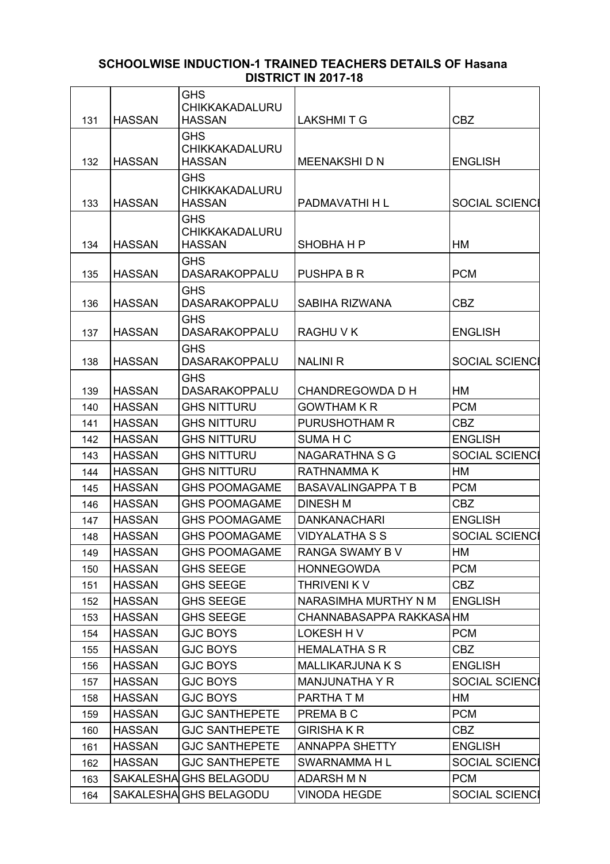|     |               | <b>GHS</b><br><b>CHIKKAKADALURU</b>    |                           |                       |
|-----|---------------|----------------------------------------|---------------------------|-----------------------|
| 131 | <b>HASSAN</b> | <b>HASSAN</b>                          | <b>LAKSHMITG</b>          | <b>CBZ</b>            |
|     |               | <b>GHS</b>                             |                           |                       |
|     |               | <b>CHIKKAKADALURU</b>                  |                           |                       |
| 132 | <b>HASSAN</b> | <b>HASSAN</b>                          | MEENAKSHI D N             | <b>ENGLISH</b>        |
|     |               | <b>GHS</b>                             |                           |                       |
| 133 | <b>HASSAN</b> | <b>CHIKKAKADALURU</b><br><b>HASSAN</b> | PADMAVATHI H L            | SOCIAL SCIENCI        |
|     |               | <b>GHS</b>                             |                           |                       |
|     |               | CHIKKAKADALURU                         |                           |                       |
| 134 | <b>HASSAN</b> | <b>HASSAN</b>                          | <b>SHOBHAHP</b>           | НM                    |
|     |               | <b>GHS</b>                             |                           |                       |
| 135 | <b>HASSAN</b> | <b>DASARAKOPPALU</b>                   | <b>PUSHPA B R</b>         | <b>PCM</b>            |
|     |               | <b>GHS</b>                             |                           |                       |
| 136 | <b>HASSAN</b> | <b>DASARAKOPPALU</b>                   | SABIHA RIZWANA            | <b>CBZ</b>            |
| 137 | <b>HASSAN</b> | <b>GHS</b><br><b>DASARAKOPPALU</b>     | <b>RAGHUVK</b>            | <b>ENGLISH</b>        |
|     |               | <b>GHS</b>                             |                           |                       |
| 138 | <b>HASSAN</b> | <b>DASARAKOPPALU</b>                   | <b>NALINI R</b>           | <b>SOCIAL SCIENCI</b> |
|     |               | <b>GHS</b>                             |                           |                       |
| 139 | <b>HASSAN</b> | <b>DASARAKOPPALU</b>                   | CHANDREGOWDA D H          | HM                    |
| 140 | <b>HASSAN</b> | <b>GHS NITTURU</b>                     | <b>GOWTHAM K R</b>        | <b>PCM</b>            |
| 141 | <b>HASSAN</b> | <b>GHS NITTURU</b>                     | PURUSHOTHAM R             | <b>CBZ</b>            |
| 142 | <b>HASSAN</b> | <b>GHS NITTURU</b>                     | SUMA H C                  | <b>ENGLISH</b>        |
| 143 | <b>HASSAN</b> | <b>GHS NITTURU</b>                     | <b>NAGARATHNA S G</b>     | <b>SOCIAL SCIENCI</b> |
| 144 | <b>HASSAN</b> | <b>GHS NITTURU</b>                     | RATHNAMMA K               | HM                    |
| 145 | <b>HASSAN</b> | <b>GHS POOMAGAME</b>                   | <b>BASAVALINGAPPA T B</b> | <b>PCM</b>            |
| 146 | <b>HASSAN</b> | <b>GHS POOMAGAME</b>                   | <b>DINESH M</b>           | <b>CBZ</b>            |
| 147 | <b>HASSAN</b> | <b>GHS POOMAGAME</b>                   | <b>DANKANACHARI</b>       | <b>ENGLISH</b>        |
| 148 | <b>HASSAN</b> | <b>GHS POOMAGAME</b>                   | <b>VIDYALATHA S S</b>     | <b>SOCIAL SCIENCI</b> |
| 149 | <b>HASSAN</b> | <b>GHS POOMAGAME</b>                   | RANGA SWAMY B V           | HM                    |
| 150 | <b>HASSAN</b> | <b>GHS SEEGE</b>                       | <b>HONNEGOWDA</b>         | <b>PCM</b>            |
| 151 | <b>HASSAN</b> | <b>GHS SEEGE</b>                       | THRIVENI K V              | <b>CBZ</b>            |
| 152 | <b>HASSAN</b> | <b>GHS SEEGE</b>                       | NARASIMHA MURTHY N M      | <b>ENGLISH</b>        |
| 153 | <b>HASSAN</b> | <b>GHS SEEGE</b>                       | CHANNABASAPPA RAKKASA HM  |                       |
| 154 | <b>HASSAN</b> | <b>GJC BOYS</b>                        | LOKESH H V                | <b>PCM</b>            |
| 155 | <b>HASSAN</b> | <b>GJC BOYS</b>                        | <b>HEMALATHA S R</b>      | CBZ                   |
| 156 | <b>HASSAN</b> | <b>GJC BOYS</b>                        | <b>MALLIKARJUNA K S</b>   | <b>ENGLISH</b>        |
| 157 | <b>HASSAN</b> | <b>GJC BOYS</b>                        | <b>MANJUNATHA Y R</b>     | <b>SOCIAL SCIENCI</b> |
| 158 | <b>HASSAN</b> | <b>GJC BOYS</b>                        | PARTHA T M                | HM                    |
| 159 | <b>HASSAN</b> | <b>GJC SANTHEPETE</b>                  | PREMA B C                 | <b>PCM</b>            |
| 160 | <b>HASSAN</b> | <b>GJC SANTHEPETE</b>                  | <b>GIRISHAKR</b>          | CBZ                   |
| 161 | <b>HASSAN</b> | <b>GJC SANTHEPETE</b>                  | ANNAPPA SHETTY            | <b>ENGLISH</b>        |
| 162 | <b>HASSAN</b> | <b>GJC SANTHEPETE</b>                  | SWARNAMMA H L             | <b>SOCIAL SCIENCI</b> |
| 163 |               | SAKALESHA GHS BELAGODU                 | <b>ADARSH M N</b>         | <b>PCM</b>            |
| 164 |               | SAKALESHA GHS BELAGODU                 | <b>VINODA HEGDE</b>       | <b>SOCIAL SCIENCI</b> |